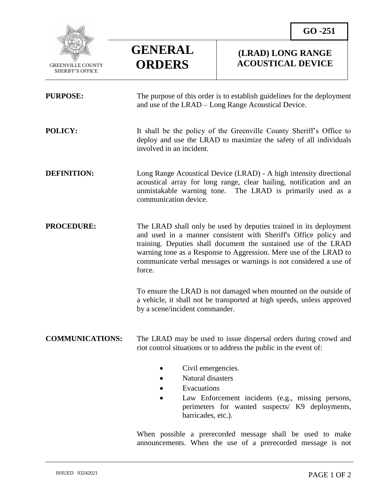

SHERIFF'S OFFICE

 $\overline{a}$ 

## **GENERAL ORDERS**

## **(LRAD) LONG RANGE ACOUSTICAL DEVICE**

| <b>PURPOSE:</b>        | The purpose of this order is to establish guidelines for the deployment<br>and use of the LRAD – Long Range Acoustical Device.                                                                                                                                                                                                                                |
|------------------------|---------------------------------------------------------------------------------------------------------------------------------------------------------------------------------------------------------------------------------------------------------------------------------------------------------------------------------------------------------------|
| POLICY:                | It shall be the policy of the Greenville County Sheriff's Office to<br>deploy and use the LRAD to maximize the safety of all individuals<br>involved in an incident.                                                                                                                                                                                          |
| <b>DEFINITION:</b>     | Long Range Acoustical Device (LRAD) - A high intensity directional<br>acoustical array for long range, clear hailing, notification and an<br>unmistakable warning tone. The LRAD is primarily used as a<br>communication device.                                                                                                                              |
| <b>PROCEDURE:</b>      | The LRAD shall only be used by deputies trained in its deployment<br>and used in a manner consistent with Sheriff's Office policy and<br>training. Deputies shall document the sustained use of the LRAD<br>warning tone as a Response to Aggression. Mere use of the LRAD to<br>communicate verbal messages or warnings is not considered a use of<br>force. |
|                        | To ensure the LRAD is not damaged when mounted on the outside of<br>a vehicle, it shall not be transported at high speeds, unless approved<br>by a scene/incident commander.                                                                                                                                                                                  |
| <b>COMMUNICATIONS:</b> | The LRAD may be used to issue dispersal orders during crowd and<br>riot control situations or to address the public in the event of:                                                                                                                                                                                                                          |
|                        | Civil emergencies.<br>Natural disasters<br>Evacuations<br>Law Enforcement incidents (e.g., missing persons,<br>perimeters for wanted suspects/ K9 deployments,<br>barricades, etc.).                                                                                                                                                                          |

When possible a prerecorded message shall be used to make announcements. When the use of a prerecorded message is not